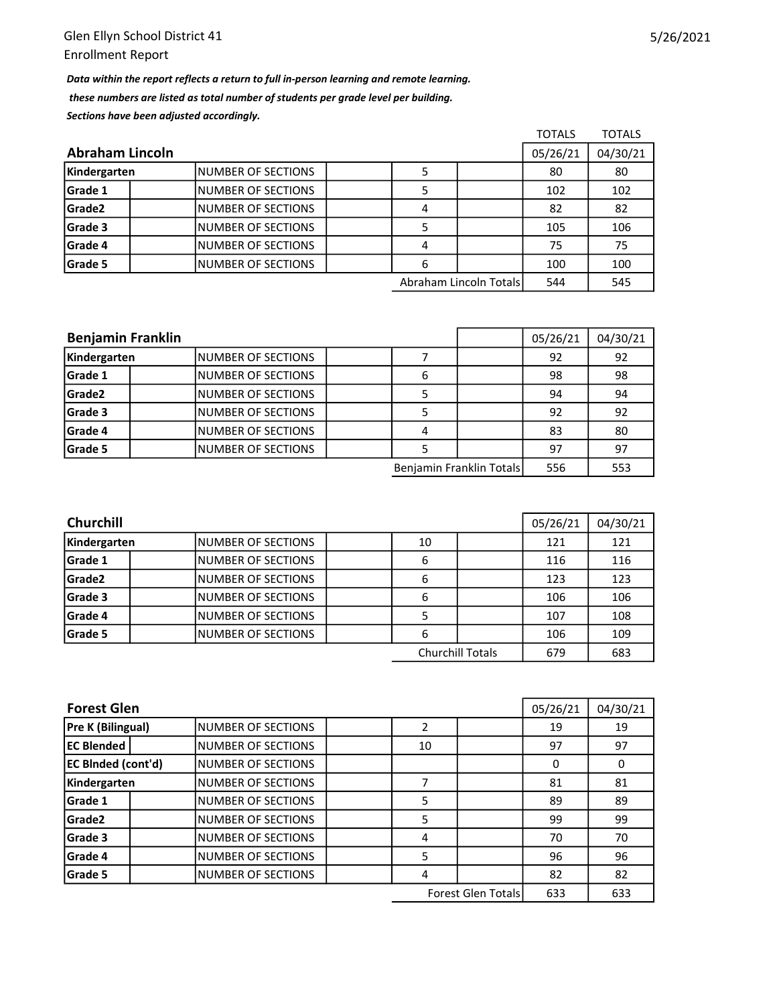Data within the report reflects a return to full in-person learning and remote learning. these numbers are listed as total number of students per grade level per building. Sections have been adjusted accordingly.

|                        |                           |  |   |                        | <b>TOTALS</b> | <b>TOTALS</b> |
|------------------------|---------------------------|--|---|------------------------|---------------|---------------|
| <b>Abraham Lincoln</b> |                           |  |   |                        |               | 04/30/21      |
| Kindergarten           | <b>NUMBER OF SECTIONS</b> |  |   |                        | 80            | 80            |
| Grade 1                | <b>NUMBER OF SECTIONS</b> |  |   |                        | 102           | 102           |
| Grade2                 | <b>NUMBER OF SECTIONS</b> |  | 4 |                        | 82            | 82            |
| Grade 3                | INUMBER OF SECTIONS       |  |   |                        | 105           | 106           |
| Grade 4                | INUMBER OF SECTIONS       |  | 4 |                        | 75            | 75            |
| Grade 5                | INUMBER OF SECTIONS       |  | 6 |                        | 100           | 100           |
|                        |                           |  |   | Abraham Lincoln Totals | 544           | 545           |

| <b>Benjamin Franklin</b> |                     |  |   |                          | 05/26/21 | 04/30/21 |
|--------------------------|---------------------|--|---|--------------------------|----------|----------|
| Kindergarten             | INUMBER OF SECTIONS |  |   |                          | 92       | 92       |
| Grade 1                  | INUMBER OF SECTIONS |  | 6 |                          | 98       | 98       |
| Grade2                   | INUMBER OF SECTIONS |  |   |                          | 94       | 94       |
| Grade 3                  | INUMBER OF SECTIONS |  |   |                          | 92       | 92       |
| Grade 4                  | INUMBER OF SECTIONS |  |   |                          | 83       | 80       |
| Grade 5                  | INUMBER OF SECTIONS |  |   |                          | 97       | 97       |
|                          |                     |  |   | Benjamin Franklin Totals | 556      | 553      |

| <b>Churchill</b> | 05/26/21                  | 04/30/21 |                         |     |     |
|------------------|---------------------------|----------|-------------------------|-----|-----|
| Kindergarten     | INUMBER OF SECTIONS       | 10       |                         | 121 | 121 |
| <b>Grade 1</b>   | <b>NUMBER OF SECTIONS</b> | 6        |                         | 116 | 116 |
| Grade2           | INUMBER OF SECTIONS       | 6        |                         | 123 | 123 |
| Grade 3          | <b>NUMBER OF SECTIONS</b> | 6        |                         | 106 | 106 |
| <b>Grade 4</b>   | <b>NUMBER OF SECTIONS</b> |          |                         | 107 | 108 |
| <b>Grade 5</b>   | INUMBER OF SECTIONS       | 6        |                         | 106 | 109 |
|                  |                           |          | <b>Churchill Totals</b> | 679 | 683 |

| <b>Forest Glen</b>        |                           |    |                           | 05/26/21 | 04/30/21 |
|---------------------------|---------------------------|----|---------------------------|----------|----------|
| <b>Pre K (Bilingual)</b>  | <b>NUMBER OF SECTIONS</b> |    |                           | 19       | 19       |
| <b>EC Blended</b>         | <b>NUMBER OF SECTIONS</b> | 10 |                           | 97       | 97       |
| <b>EC BInded (cont'd)</b> | <b>NUMBER OF SECTIONS</b> |    |                           | 0        | 0        |
| Kindergarten              | <b>NUMBER OF SECTIONS</b> |    |                           | 81       | 81       |
| Grade 1                   | <b>NUMBER OF SECTIONS</b> | 5  |                           | 89       | 89       |
| Grade <sub>2</sub>        | <b>NUMBER OF SECTIONS</b> | 5  |                           | 99       | 99       |
| Grade 3                   | <b>NUMBER OF SECTIONS</b> | 4  |                           | 70       | 70       |
| Grade 4                   | <b>NUMBER OF SECTIONS</b> | 5  |                           | 96       | 96       |
| Grade 5                   | <b>NUMBER OF SECTIONS</b> | 4  |                           | 82       | 82       |
|                           |                           |    | <b>Forest Glen Totals</b> | 633      | 633      |